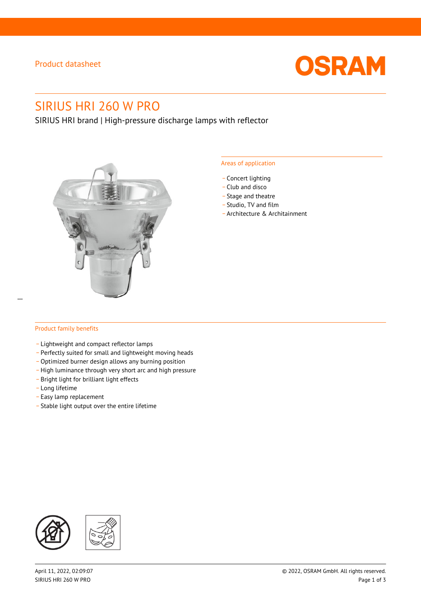# Product datasheet



# SIRIUS HRI 260 W PRO

SIRIUS HRI brand | High-pressure discharge lamps with reflector



#### Areas of application

- Concert lighting
- \_ Club and disco
- Stage and theatre
- \_ Studio, TV and film
- \_ Architecture & Architainment

### Product family benefits

- \_ Lightweight and compact reflector lamps
- \_ Perfectly suited for small and lightweight moving heads
- Optimized burner design allows any burning position
- High luminance through very short arc and high pressure
- \_ Bright light for brilliant light effects
- \_ Long lifetime
- \_ Easy lamp replacement
- \_ Stable light output over the entire lifetime

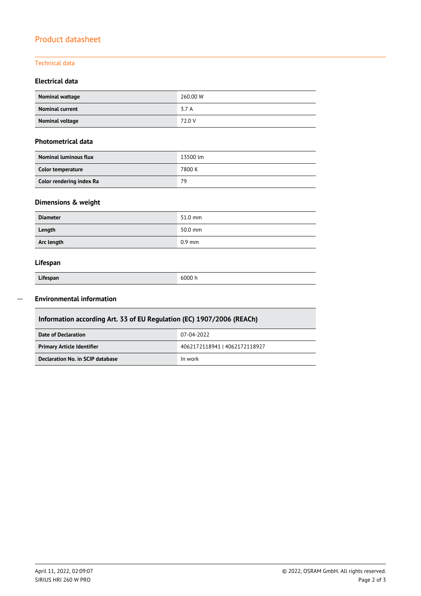# Product datasheet

### Technical data

### **Electrical data**

| Nominal wattage        | 260.00 W |
|------------------------|----------|
| <b>Nominal current</b> | 3.7 A    |
| Nominal voltage        | 72.0 V   |

#### **Photometrical data**

| <b>Nominal luminous flux</b> | 13500 lm |  |
|------------------------------|----------|--|
| Color temperature            | 7800 K   |  |
| Color rendering index Ra     | 79       |  |

# **Dimensions & weight**

| <b>Diameter</b> | 51.0 mm  |
|-----------------|----------|
| Length          | 50.0 mm  |
| Arc length      | $0.9$ mm |

### **Lifespan**

| Lifespan |  |
|----------|--|

Π

 $\overline{a}$ 

**Lifespan** 6000 h

## **Environmental information**

| Information according Art. 33 of EU Regulation (EC) 1907/2006 (REACh) |                               |  |  |  |
|-----------------------------------------------------------------------|-------------------------------|--|--|--|
| Date of Declaration                                                   | 07-04-2022                    |  |  |  |
| <b>Primary Article Identifier</b>                                     | 4062172118941   4062172118927 |  |  |  |
| Declaration No. in SCIP database                                      | In work                       |  |  |  |